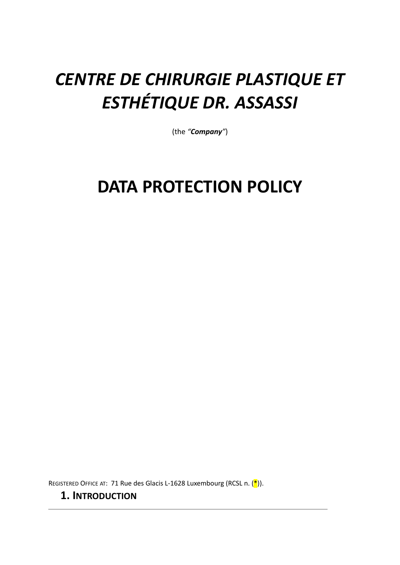# **CENTRE DE CHIRURGIE PLASTIQUE ET ESTHÉTIQUE DR. ASSASSI**

(the *"Company"*)

# **DATA PROTECTION POLICY**

REGISTERED OFFICE AT: 71 Rue des Glacis L-1628 Luxembourg (RCSL n.  $(\frac{*}{})$ ).

## **1. INTRODUCTION**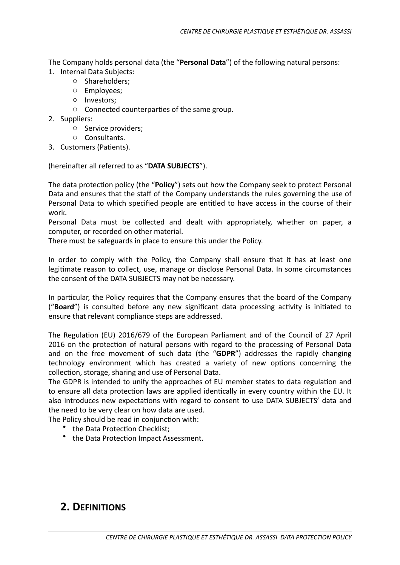The Company holds personal data (the "Personal Data") of the following natural persons:

- 1. Internal Data Subjects:
	- o Shareholders;
	- o Employees;
	- o Investors;
	- $\circ$  Connected counterparties of the same group.
- 2. Suppliers:
	- $\circ$  Service providers;
	- o Consultants.
- 3. Customers (Patients).

(hereinafter all referred to as "DATA SUBJECTS").

The data protection policy (the "Policy") sets out how the Company seek to protect Personal Data and ensures that the staff of the Company understands the rules governing the use of Personal Data to which specified people are entitled to have access in the course of their work. 

Personal Data must be collected and dealt with appropriately, whether on paper, a computer, or recorded on other material.

There must be safeguards in place to ensure this under the Policy.

In order to comply with the Policy, the Company shall ensure that it has at least one legitimate reason to collect, use, manage or disclose Personal Data. In some circumstances the consent of the DATA SUBJECTS may not be necessary.

In particular, the Policy requires that the Company ensures that the board of the Company ("**Board**") is consulted before any new significant data processing activity is initiated to ensure that relevant compliance steps are addressed.

The Regulation (EU) 2016/679 of the European Parliament and of the Council of 27 April 2016 on the protection of natural persons with regard to the processing of Personal Data and on the free movement of such data (the "GDPR") addresses the rapidly changing technology environment which has created a variety of new options concerning the collection, storage, sharing and use of Personal Data.

The GDPR is intended to unify the approaches of EU member states to data regulation and to ensure all data protection laws are applied identically in every country within the EU. It also introduces new expectations with regard to consent to use DATA SUBJECTS' data and the need to be very clear on how data are used.

The Policy should be read in conjunction with:

- the Data Protection Checklist;
- the Data Protection Impact Assessment.

## **2. DEFINITIONS**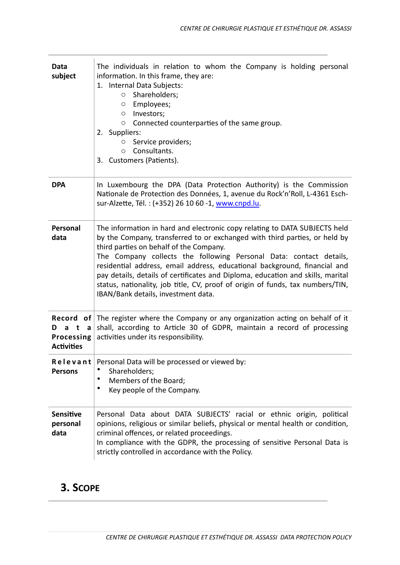| Data<br>subject                                          | The individuals in relation to whom the Company is holding personal<br>information. In this frame, they are:<br>1. Internal Data Subjects:<br>Shareholders;<br>$\circ$<br>Employees;<br>O<br>Investors;<br>O<br>Connected counterparties of the same group.<br>O<br>2. Suppliers:<br>Service providers;<br>O<br>Consultants.<br>O<br>3. Customers (Patients).                                                                                                                                                                                                      |
|----------------------------------------------------------|--------------------------------------------------------------------------------------------------------------------------------------------------------------------------------------------------------------------------------------------------------------------------------------------------------------------------------------------------------------------------------------------------------------------------------------------------------------------------------------------------------------------------------------------------------------------|
| <b>DPA</b>                                               | In Luxembourg the DPA (Data Protection Authority) is the Commission<br>Nationale de Protection des Données, 1, avenue du Rock'n'Roll, L-4361 Esch-<br>sur-Alzette, Tél.: (+352) 26 10 60 -1, www.cnpd.lu.                                                                                                                                                                                                                                                                                                                                                          |
| Personal<br>data                                         | The information in hard and electronic copy relating to DATA SUBJECTS held<br>by the Company, transferred to or exchanged with third parties, or held by<br>third parties on behalf of the Company.<br>The Company collects the following Personal Data: contact details,<br>residential address, email address, educational background, financial and<br>pay details, details of certificates and Diploma, education and skills, marital<br>status, nationality, job title, CV, proof of origin of funds, tax numbers/TIN,<br>IBAN/Bank details, investment data. |
| Dat<br>$\overline{a}$<br>Processing<br><b>Activities</b> | <b>Record</b> of The register where the Company or any organization acting on behalf of it<br>shall, according to Article 30 of GDPR, maintain a record of processing<br>activities under its responsibility.                                                                                                                                                                                                                                                                                                                                                      |
| Relevant<br><b>Persons</b>                               | Personal Data will be processed or viewed by:<br>Shareholders;<br>Members of the Board;<br>٠<br>Key people of the Company.                                                                                                                                                                                                                                                                                                                                                                                                                                         |
| <b>Sensitive</b><br>personal<br>data                     | Personal Data about DATA SUBJECTS' racial or ethnic origin, political<br>opinions, religious or similar beliefs, physical or mental health or condition,<br>criminal offences, or related proceedings.<br>In compliance with the GDPR, the processing of sensitive Personal Data is<br>strictly controlled in accordance with the Policy.                                                                                                                                                                                                                          |

# **3. SCOPE**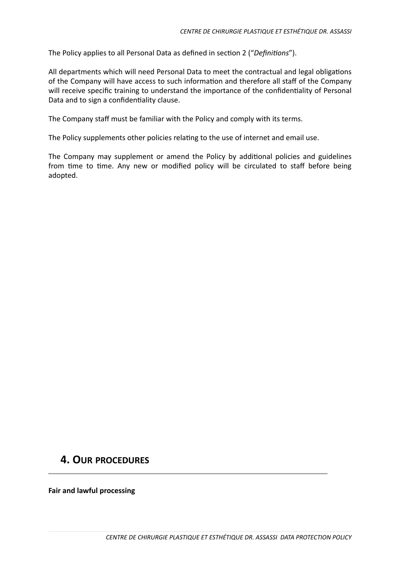The Policy applies to all Personal Data as defined in section 2 ("Definitions").

All departments which will need Personal Data to meet the contractual and legal obligations of the Company will have access to such information and therefore all staff of the Company will receive specific training to understand the importance of the confidentiality of Personal Data and to sign a confidentiality clause.

The Company staff must be familiar with the Policy and comply with its terms.

The Policy supplements other policies relating to the use of internet and email use.

The Company may supplement or amend the Policy by additional policies and guidelines from time to time. Any new or modified policy will be circulated to staff before being adopted. 

## **4. OUR PROCEDURES**

**Fair and lawful processing**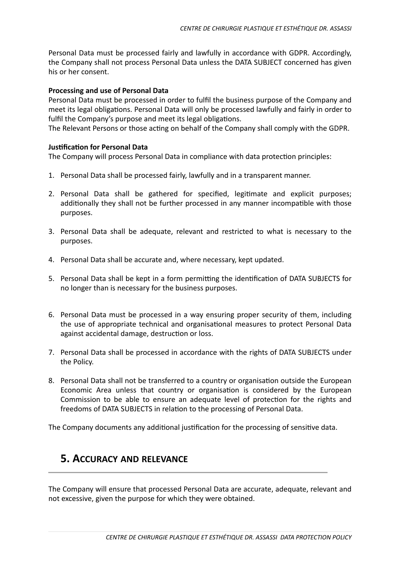Personal Data must be processed fairly and lawfully in accordance with GDPR. Accordingly, the Company shall not process Personal Data unless the DATA SUBJECT concerned has given his or her consent.

#### **Processing and use of Personal Data**

Personal Data must be processed in order to fulfil the business purpose of the Company and meet its legal obligations. Personal Data will only be processed lawfully and fairly in order to fulfil the Company's purpose and meet its legal obligations.

The Relevant Persons or those acting on behalf of the Company shall comply with the GDPR.

#### **Justification for Personal Data**

The Company will process Personal Data in compliance with data protection principles:

- 1. Personal Data shall be processed fairly, lawfully and in a transparent manner.
- 2. Personal Data shall be gathered for specified, legitimate and explicit purposes; additionally they shall not be further processed in any manner incompatible with those purposes.
- 3. Personal Data shall be adequate, relevant and restricted to what is necessary to the purposes.
- 4. Personal Data shall be accurate and, where necessary, kept updated.
- 5. Personal Data shall be kept in a form permitting the identification of DATA SUBJECTS for no longer than is necessary for the business purposes.
- 6. Personal Data must be processed in a way ensuring proper security of them, including the use of appropriate technical and organisational measures to protect Personal Data against accidental damage, destruction or loss.
- 7. Personal Data shall be processed in accordance with the rights of DATA SUBJECTS under the Policy.
- 8. Personal Data shall not be transferred to a country or organisation outside the European Economic Area unless that country or organisation is considered by the European Commission to be able to ensure an adequate level of protection for the rights and freedoms of DATA SUBJECTS in relation to the processing of Personal Data.

The Company documents any additional justification for the processing of sensitive data.

# **5. ACCURACY AND RELEVANCE**

The Company will ensure that processed Personal Data are accurate, adequate, relevant and not excessive, given the purpose for which they were obtained.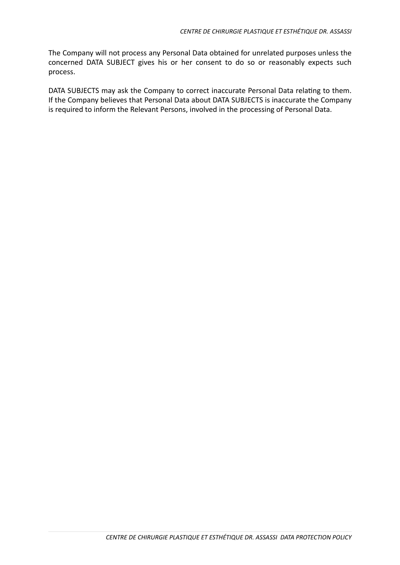The Company will not process any Personal Data obtained for unrelated purposes unless the concerned DATA SUBJECT gives his or her consent to do so or reasonably expects such process. 

DATA SUBJECTS may ask the Company to correct inaccurate Personal Data relating to them. If the Company believes that Personal Data about DATA SUBJECTS is inaccurate the Company is required to inform the Relevant Persons, involved in the processing of Personal Data.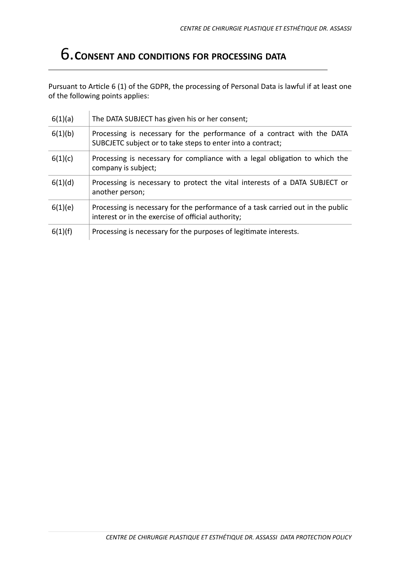# 6.**CONSENT AND CONDITIONS FOR PROCESSING DATA**

Pursuant to Article 6 (1) of the GDPR, the processing of Personal Data is lawful if at least one of the following points applies:

| 6(1)(a) | The DATA SUBJECT has given his or her consent;                                                                                         |
|---------|----------------------------------------------------------------------------------------------------------------------------------------|
| 6(1)(b) | Processing is necessary for the performance of a contract with the DATA<br>SUBCJETC subject or to take steps to enter into a contract; |
| 6(1)(c) | Processing is necessary for compliance with a legal obligation to which the<br>company is subject;                                     |
| 6(1)(d) | Processing is necessary to protect the vital interests of a DATA SUBJECT or<br>another person;                                         |
| 6(1)(e) | Processing is necessary for the performance of a task carried out in the public<br>interest or in the exercise of official authority;  |
| 6(1)(f) | Processing is necessary for the purposes of legitimate interests.                                                                      |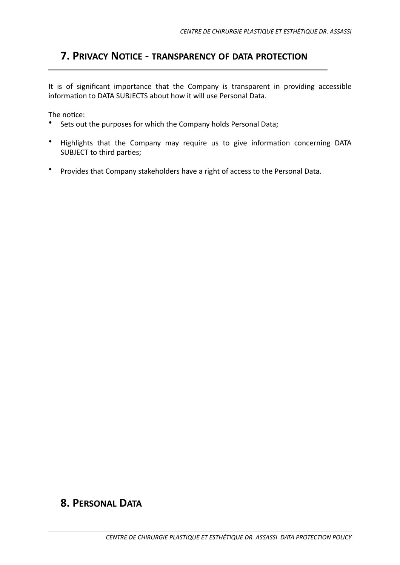# **7. PRIVACY NOTICE - TRANSPARENCY OF DATA PROTECTION**

It is of significant importance that the Company is transparent in providing accessible information to DATA SUBJECTS about how it will use Personal Data.

The notice:

- Sets out the purposes for which the Company holds Personal Data;
- Highlights that the Company may require us to give information concerning DATA SUBJECT to third parties;
- Provides that Company stakeholders have a right of access to the Personal Data.

## **8. PERSONAL DATA**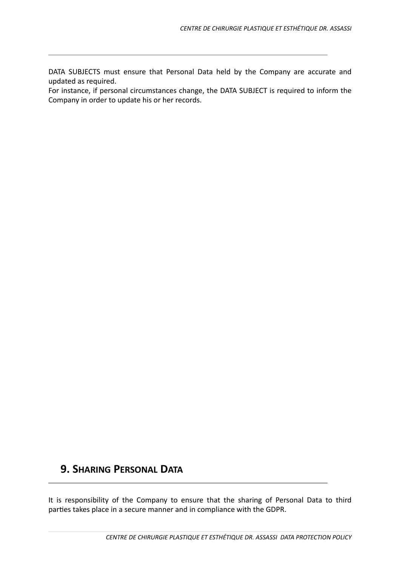DATA SUBJECTS must ensure that Personal Data held by the Company are accurate and updated as required.

For instance, if personal circumstances change, the DATA SUBJECT is required to inform the Company in order to update his or her records.

# **9. SHARING PERSONAL DATA**

It is responsibility of the Company to ensure that the sharing of Personal Data to third parties takes place in a secure manner and in compliance with the GDPR.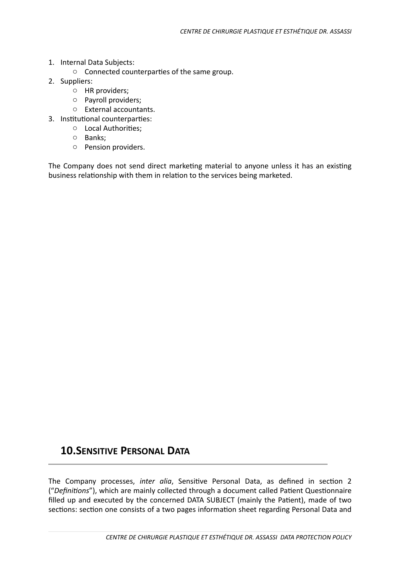- 1. Internal Data Subjects:
	- $\circ$  Connected counterparties of the same group.
- 2. Suppliers:
	- $\circ$  HR providers;
	- $\circ$  Payroll providers;
	- o External accountants.
- 3. Institutional counterparties:
	- $\circ$  Local Authorities;
	- o Banks;
	- o Pension providers.

The Company does not send direct marketing material to anyone unless it has an existing business relationship with them in relation to the services being marketed.

## **10.SENSITIVE PERSONAL DATA**

The Company processes, *inter alia*, Sensitive Personal Data, as defined in section 2 ("Definitions"), which are mainly collected through a document called Patient Questionnaire filled up and executed by the concerned DATA SUBJECT (mainly the Patient), made of two sections: section one consists of a two pages information sheet regarding Personal Data and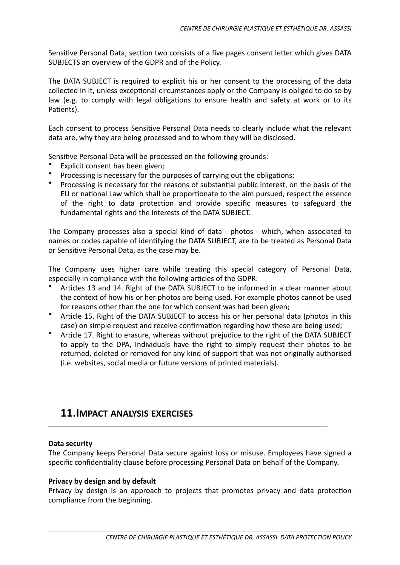Sensitive Personal Data; section two consists of a five pages consent letter which gives DATA SUBJECTS an overview of the GDPR and of the Policy.

The DATA SUBJECT is required to explicit his or her consent to the processing of the data collected in it, unless exceptional circumstances apply or the Company is obliged to do so by law (e.g. to comply with legal obligations to ensure health and safety at work or to its Patients).

Each consent to process Sensitive Personal Data needs to clearly include what the relevant data are, why they are being processed and to whom they will be disclosed.

Sensitive Personal Data will be processed on the following grounds:

- Explicit consent has been given:
- Processing is necessary for the purposes of carrying out the obligations:
- Processing is necessary for the reasons of substantial public interest, on the basis of the EU or national Law which shall be proportionate to the aim pursued, respect the essence of the right to data protection and provide specific measures to safeguard the fundamental rights and the interests of the DATA SUBJECT.

The Company processes also a special kind of data - photos - which, when associated to names or codes capable of identifying the DATA SUBJECT, are to be treated as Personal Data or Sensitive Personal Data, as the case may be.

The Company uses higher care while treating this special category of Personal Data, especially in compliance with the following articles of the GDPR:

- Articles 13 and 14. Right of the DATA SUBJECT to be informed in a clear manner about the context of how his or her photos are being used. For example photos cannot be used for reasons other than the one for which consent was had been given;
- Article 15. Right of the DATA SUBJECT to access his or her personal data (photos in this case) on simple request and receive confirmation regarding how these are being used;
- Article 17. Right to erasure, whereas without prejudice to the right of the DATA SUBJECT to apply to the DPA, Individuals have the right to simply request their photos to be returned, deleted or removed for any kind of support that was not originally authorised (i.e. websites, social media or future versions of printed materials).

## **11.IMPACT ANALYSIS EXERCISES**

#### Data security

The Company keeps Personal Data secure against loss or misuse. Employees have signed a specific confidentiality clause before processing Personal Data on behalf of the Company.

#### **Privacy by design and by default**

Privacy by design is an approach to projects that promotes privacy and data protection compliance from the beginning.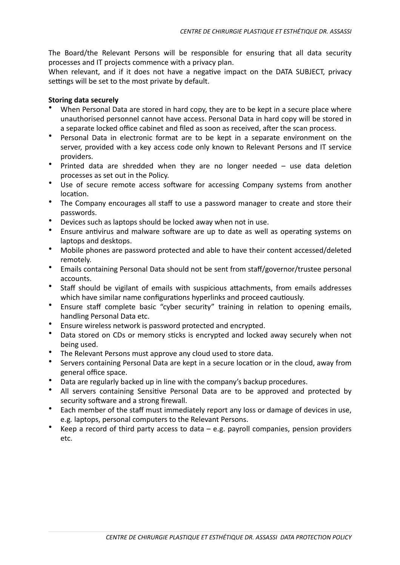The Board/the Relevant Persons will be responsible for ensuring that all data security processes and IT projects commence with a privacy plan.

When relevant, and if it does not have a negative impact on the DATA SUBJECT, privacy settings will be set to the most private by default.

#### **Storing data securely**

- When Personal Data are stored in hard copy, they are to be kept in a secure place where unauthorised personnel cannot have access. Personal Data in hard copy will be stored in a separate locked office cabinet and filed as soon as received, after the scan process.
- Personal Data in electronic format are to be kept in a separate environment on the server, provided with a key access code only known to Relevant Persons and IT service providers.
- Printed data are shredded when they are no longer needed  $-$  use data deletion processes as set out in the Policy.
- Use of secure remote access software for accessing Company systems from another location.
- The Company encourages all staff to use a password manager to create and store their passwords.
- Devices such as laptops should be locked away when not in use.
- Ensure antivirus and malware software are up to date as well as operating systems on laptops and desktops.
- Mobile phones are password protected and able to have their content accessed/deleted remotely.
- Emails containing Personal Data should not be sent from staff/governor/trustee personal accounts.
- Staff should be vigilant of emails with suspicious attachments, from emails addresses which have similar name configurations hyperlinks and proceed cautiously.
- Ensure staff complete basic "cyber security" training in relation to opening emails, handling Personal Data etc.
- Ensure wireless network is password protected and encrypted.
- Data stored on CDs or memory sticks is encrypted and locked away securely when not being used.
- The Relevant Persons must approve any cloud used to store data.
- Servers containing Personal Data are kept in a secure location or in the cloud, away from general office space.
- Data are regularly backed up in line with the company's backup procedures.
- All servers containing Sensitive Personal Data are to be approved and protected by security software and a strong firewall.
- Each member of the staff must immediately report any loss or damage of devices in use, e.g. laptops, personal computers to the Relevant Persons.
- Keep a record of third party access to data  $-$  e.g. payroll companies, pension providers etc.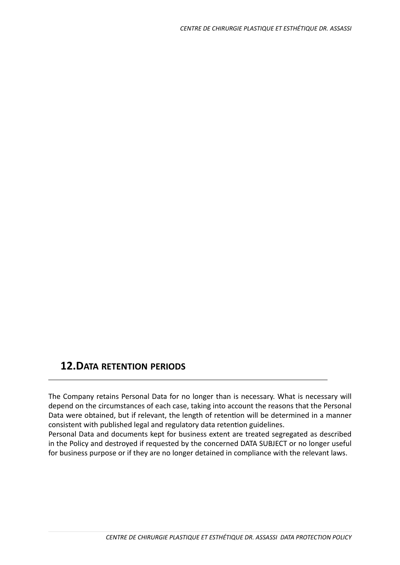## **12.DATA RETENTION PERIODS**

The Company retains Personal Data for no longer than is necessary. What is necessary will depend on the circumstances of each case, taking into account the reasons that the Personal Data were obtained, but if relevant, the length of retention will be determined in a manner consistent with published legal and regulatory data retention guidelines.

Personal Data and documents kept for business extent are treated segregated as described in the Policy and destroyed if requested by the concerned DATA SUBJECT or no longer useful for business purpose or if they are no longer detained in compliance with the relevant laws.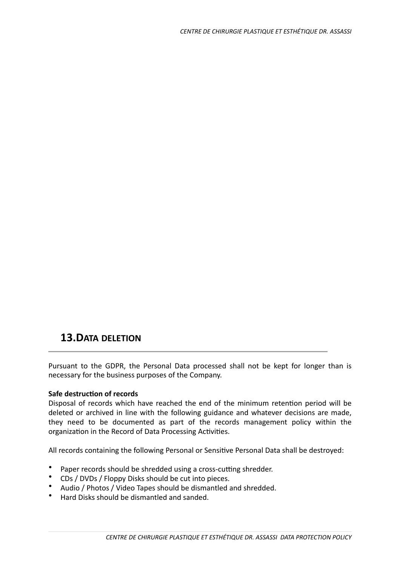## **13.DATA DELETION**

Pursuant to the GDPR, the Personal Data processed shall not be kept for longer than is necessary for the business purposes of the Company.

### **Safe destruction of records**

Disposal of records which have reached the end of the minimum retention period will be deleted or archived in line with the following guidance and whatever decisions are made, they need to be documented as part of the records management policy within the organization in the Record of Data Processing Activities.

All records containing the following Personal or Sensitive Personal Data shall be destroyed:

- Paper records should be shredded using a cross-cutting shredder.
- CDs / DVDs / Floppy Disks should be cut into pieces.
- Audio / Photos / Video Tapes should be dismantled and shredded.
- Hard Disks should be dismantled and sanded.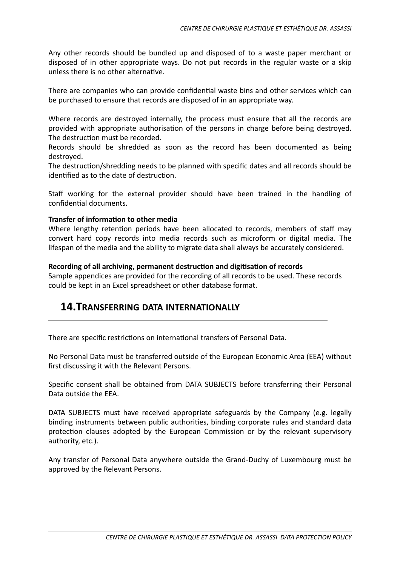Any other records should be bundled up and disposed of to a waste paper merchant or disposed of in other appropriate ways. Do not put records in the regular waste or a skip unless there is no other alternative.

There are companies who can provide confidential waste bins and other services which can be purchased to ensure that records are disposed of in an appropriate way.

Where records are destroyed internally, the process must ensure that all the records are provided with appropriate authorisation of the persons in charge before being destroyed. The destruction must be recorded.

Records should be shredded as soon as the record has been documented as being destroyed. 

The destruction/shredding needs to be planned with specific dates and all records should be identified as to the date of destruction.

Staff working for the external provider should have been trained in the handling of confidential documents

#### **Transfer of information to other media**

Where lengthy retention periods have been allocated to records, members of staff may convert hard copy records into media records such as microform or digital media. The lifespan of the media and the ability to migrate data shall always be accurately considered.

#### **Recording of all archiving, permanent destruction and digitisation of records**

Sample appendices are provided for the recording of all records to be used. These records could be kept in an Excel spreadsheet or other database format.

## **14.TRANSFERRING DATA INTERNATIONALLY**

There are specific restrictions on international transfers of Personal Data.

No Personal Data must be transferred outside of the European Economic Area (EEA) without first discussing it with the Relevant Persons.

Specific consent shall be obtained from DATA SUBJECTS before transferring their Personal Data outside the FFA.

DATA SUBJECTS must have received appropriate safeguards by the Company (e.g. legally binding instruments between public authorities, binding corporate rules and standard data protection clauses adopted by the European Commission or by the relevant supervisory authority, etc.).

Any transfer of Personal Data anywhere outside the Grand-Duchy of Luxembourg must be approved by the Relevant Persons.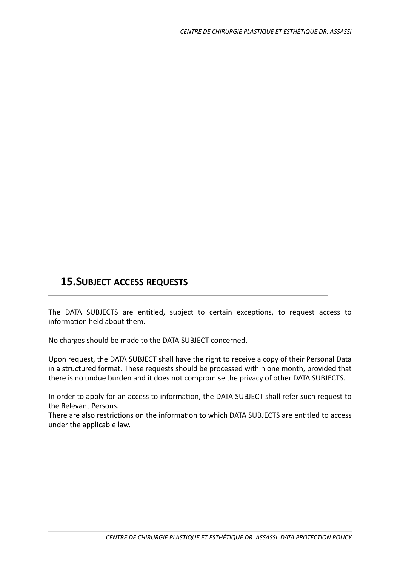# **15.SUBJECT ACCESS REQUESTS**

The DATA SUBJECTS are entitled, subject to certain exceptions, to request access to information held about them.

No charges should be made to the DATA SUBJECT concerned.

Upon request, the DATA SUBJECT shall have the right to receive a copy of their Personal Data in a structured format. These requests should be processed within one month, provided that there is no undue burden and it does not compromise the privacy of other DATA SUBJECTS.

In order to apply for an access to information, the DATA SUBJECT shall refer such request to the Relevant Persons.

There are also restrictions on the information to which DATA SUBJECTS are entitled to access under the applicable law.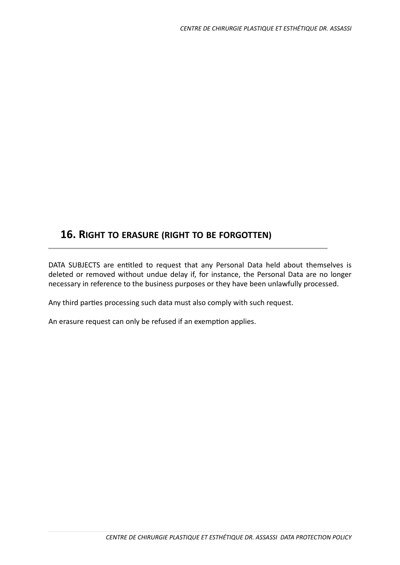## **16. RIGHT TO ERASURE (RIGHT TO BE FORGOTTEN)**

DATA SUBJECTS are entitled to request that any Personal Data held about themselves is deleted or removed without undue delay if, for instance, the Personal Data are no longer necessary in reference to the business purposes or they have been unlawfully processed.

Any third parties processing such data must also comply with such request.

An erasure request can only be refused if an exemption applies.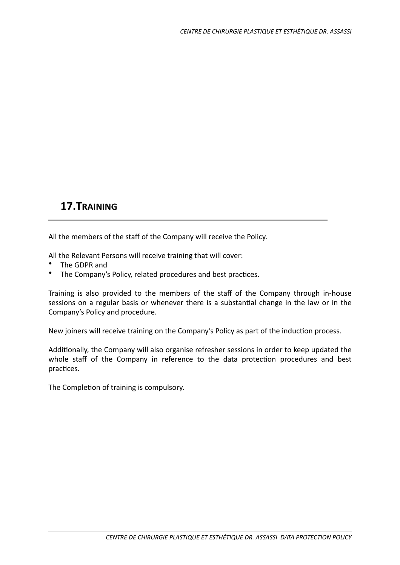# **17.TRAINING**

All the members of the staff of the Company will receive the Policy.

All the Relevant Persons will receive training that will cover:

- The GDPR and
- The Company's Policy, related procedures and best practices.

Training is also provided to the members of the staff of the Company through in-house sessions on a regular basis or whenever there is a substantial change in the law or in the Company's Policy and procedure.

New joiners will receive training on the Company's Policy as part of the induction process.

Additionally, the Company will also organise refresher sessions in order to keep updated the whole staff of the Company in reference to the data protection procedures and best practices.

The Completion of training is compulsory.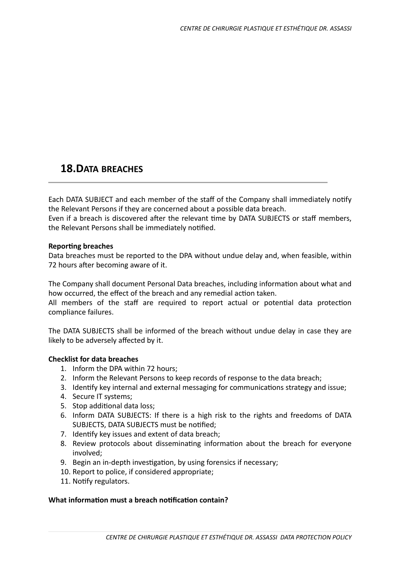# **18.DATA BREACHES**

Each DATA SUBJECT and each member of the staff of the Company shall immediately notify the Relevant Persons if they are concerned about a possible data breach.

Even if a breach is discovered after the relevant time by DATA SUBJECTS or staff members, the Relevant Persons shall be immediately notified.

#### **Reporting breaches**

Data breaches must be reported to the DPA without undue delay and, when feasible, within 72 hours after becoming aware of it.

The Company shall document Personal Data breaches, including information about what and how occurred, the effect of the breach and any remedial action taken. All members of the staff are required to report actual or potential data protection compliance failures.

The DATA SUBJECTS shall be informed of the breach without undue delay in case they are likely to be adversely affected by it.

### **Checklist for data breaches**

- 1. Inform the DPA within 72 hours;
- 2. Inform the Relevant Persons to keep records of response to the data breach;
- 3. Identify key internal and external messaging for communications strategy and issue;
- 4. Secure IT systems;
- 5. Stop additional data loss;
- 6. Inform DATA SUBJECTS: If there is a high risk to the rights and freedoms of DATA SUBJECTS, DATA SUBJECTS must be notified;
- 7. Identify key issues and extent of data breach;
- 8. Review protocols about disseminating information about the breach for everyone involved;
- 9. Begin an in-depth investigation, by using forensics if necessary;
- 10. Report to police, if considered appropriate;
- 11. Notify regulators.

#### **What information must a breach notification contain?**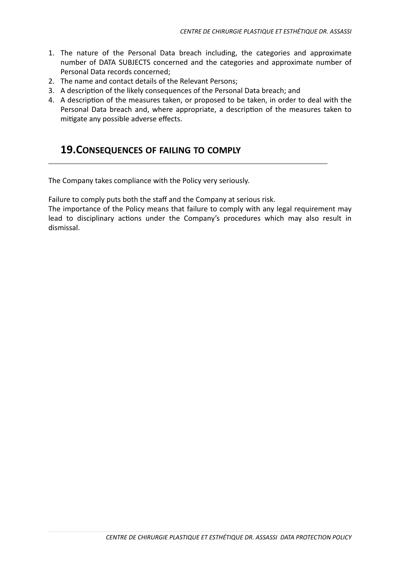- 1. The nature of the Personal Data breach including, the categories and approximate number of DATA SUBJECTS concerned and the categories and approximate number of Personal Data records concerned:
- 2. The name and contact details of the Relevant Persons;
- 3. A description of the likely consequences of the Personal Data breach; and
- 4. A description of the measures taken, or proposed to be taken, in order to deal with the Personal Data breach and, where appropriate, a description of the measures taken to mitigate any possible adverse effects.

## **19.CONSEQUENCES OF FAILING TO COMPLY**

The Company takes compliance with the Policy very seriously.

Failure to comply puts both the staff and the Company at serious risk.

The importance of the Policy means that failure to comply with any legal requirement may lead to disciplinary actions under the Company's procedures which may also result in dismissal.